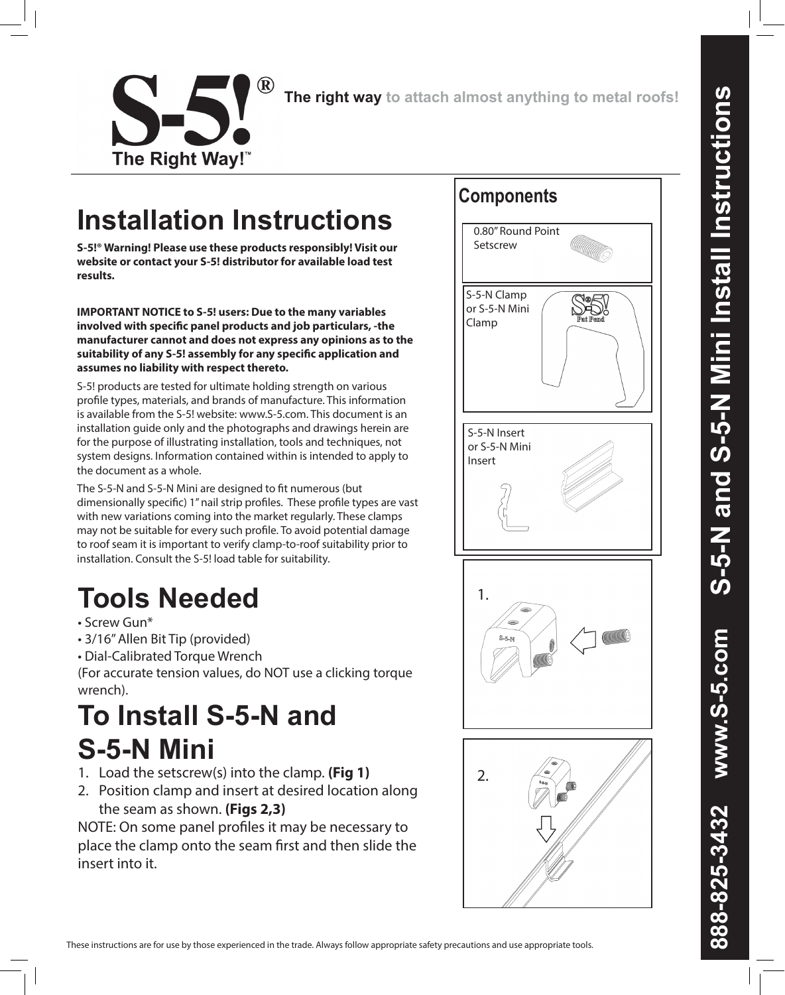

## **Installation Instructions**

**S-5!® Warning! Please use these products responsibly! Visit our website or contact your S-5! distributor for available load test results.** 

**IMPORTANT NOTICE to S-5! users: Due to the many variables involved with specific panel products and job particulars, -the manufacturer cannot and does not express any opinions as to the suitability of any S-5! assembly for any specific application and assumes no liability with respect thereto.** 

S-5! products are tested for ultimate holding strength on various profile types, materials, and brands of manufacture. This information is available from the S-5! website: www.S-5.com. This document is an installation guide only and the photographs and drawings herein are for the purpose of illustrating installation, tools and techniques, not system designs. Information contained within is intended to apply to the document as a whole.

The S-5-N and S-5-N Mini are designed to fit numerous (but dimensionally specific) 1" nail strip profiles. These profile types are vast with new variations coming into the market regularly. These clamps may not be suitable for every such profile. To avoid potential damage to roof seam it is important to verify clamp-to-roof suitability prior to installation. Consult the S-5! load table for suitability.

# **Tools Needed**

- Screw Gun\*
- 3/16" Allen Bit Tip (provided)
- Dial-Calibrated Torque Wrench

(For accurate tension values, do NOT use a clicking torque wrench).

## **To Install S-5-N and S-5-N Mini**

- 1. Load the setscrew(s) into the clamp. **(Fig 1)**
- 2. Position clamp and insert at desired location along the seam as shown. **(Figs 2,3)**

NOTE: On some panel profiles it may be necessary to place the clamp onto the seam first and then slide the insert into it.



These instructions are for use by those experienced in the trade. Always follow appropriate safety precautions and use appropriate tools.